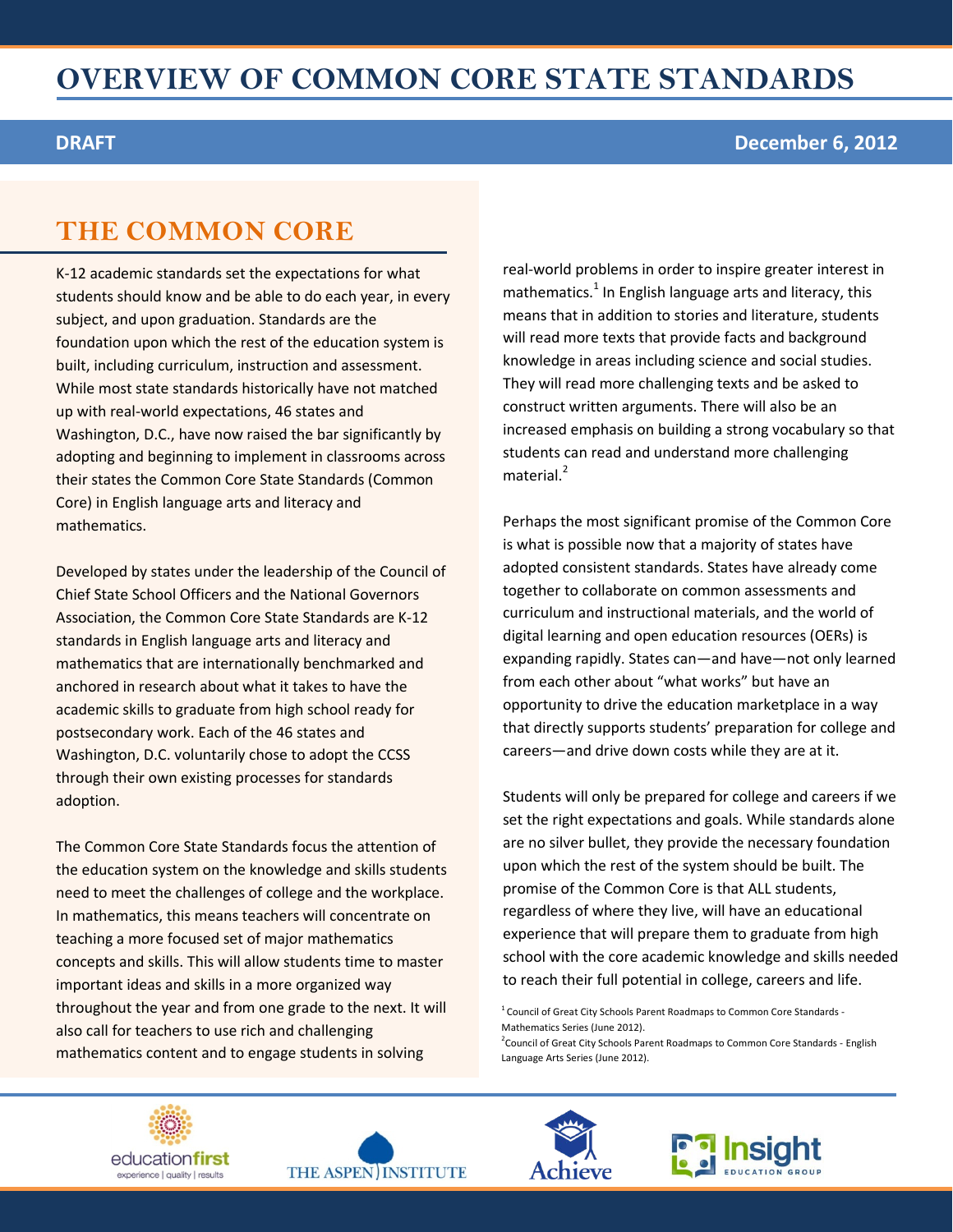#### **DRAFT December 6, 2012**

### **THE COMMON CORE**

K-12 academic standards set the expectations for what students should know and be able to do each year, in every subject, and upon graduation. Standards are the foundation upon which the rest of the education system is built, including curriculum, instruction and assessment. While most state standards historically have not matched up with real-world expectations, 46 states and Washington, D.C., have now raised the bar significantly by adopting and beginning to implement in classrooms across their states the Common Core State Standards (Common Core) in English language arts and literacy and mathematics.

Developed by states under the leadership of the Council of Chief State School Officers and the National Governors Association, the Common Core State Standards are K-12 standards in English language arts and literacy and mathematics that are internationally benchmarked and anchored in research about what it takes to have the academic skills to graduate from high school ready for postsecondary work. Each of the 46 states and Washington, D.C. voluntarily chose to adopt the CCSS through their own existing processes for standards adoption.

The Common Core State Standards focus the attention of the education system on the knowledge and skills students need to meet the challenges of college and the workplace. In mathematics, this means teachers will concentrate on teaching a more focused set of major mathematics concepts and skills. This will allow students time to master important ideas and skills in a more organized way throughout the year and from one grade to the next. It will also call for teachers to use rich and challenging mathematics content and to engage students in solving

real-world problems in order to inspire greater interest in mathematics.<sup>1</sup> In English language arts and literacy, this means that in addition to stories and literature, students will read more texts that provide facts and background knowledge in areas including science and social studies. They will read more challenging texts and be asked to construct written arguments. There will also be an increased emphasis on building a strong vocabulary so that students can read and understand more challenging  $m$ aterial. $2$ 

Perhaps the most significant promise of the Common Core is what is possible now that a majority of states have adopted consistent standards. States have already come together to collaborate on common assessments and curriculum and instructional materials, and the world of digital learning and open education resources (OERs) is expanding rapidly. States can—and have—not only learned from each other about "what works" but have an opportunity to drive the education marketplace in a way that directly supports students' preparation for college and careers—and drive down costs while they are at it.

Students will only be prepared for college and careers if we set the right expectations and goals. While standards alone are no silver bullet, they provide the necessary foundation upon which the rest of the system should be built. The promise of the Common Core is that ALL students, regardless of where they live, will have an educational experience that will prepare them to graduate from high school with the core academic knowledge and skills needed to reach their full potential in college, careers and life.

 $1$  Council of Great City Schools Parent Roadmaps to Common Core Standards -Mathematics Series (June 2012). <sup>2</sup> Council of Great City Schools Parent Roadmaps to Common Core Standards - English







Language Arts Series (June 2012).

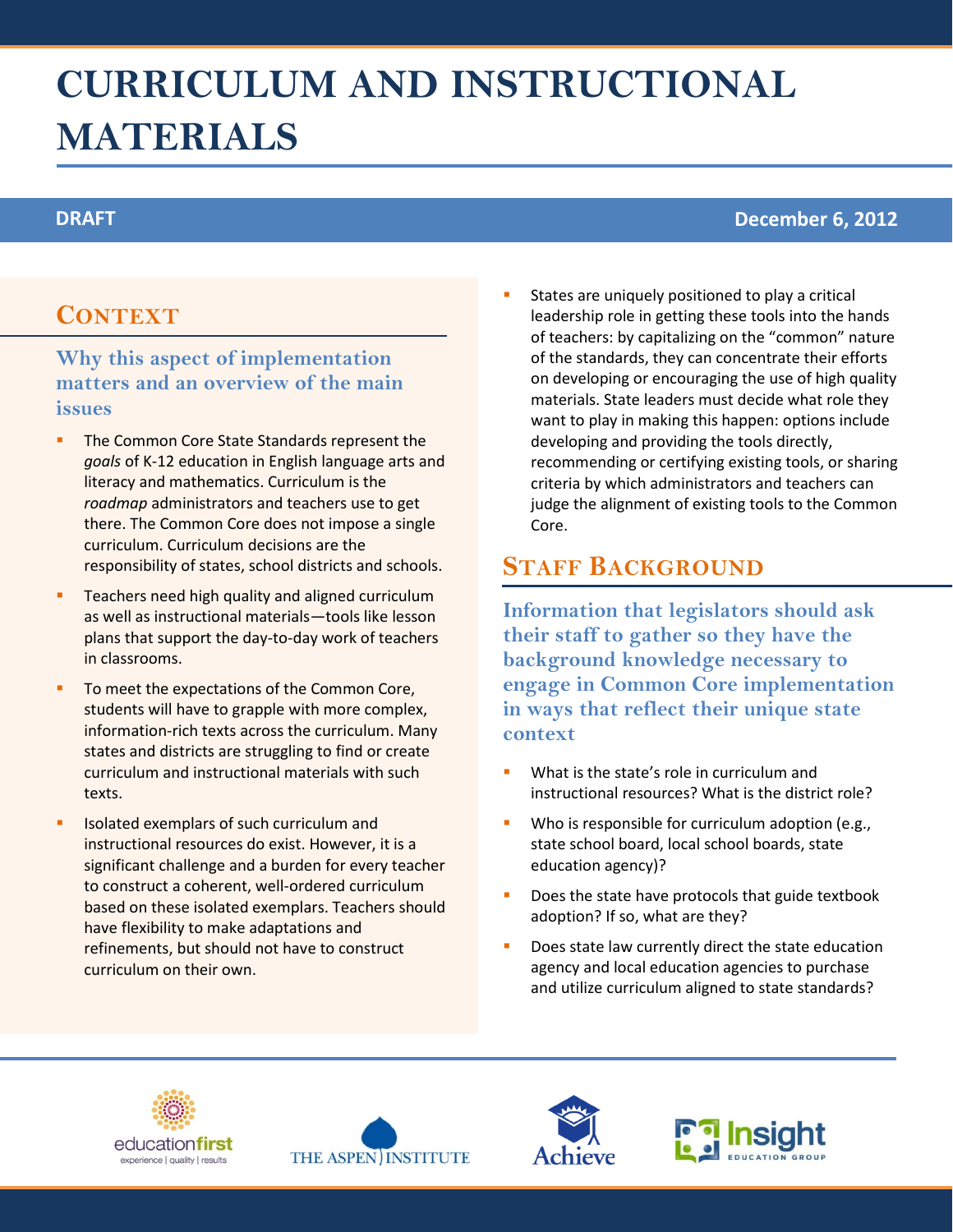# **CURRICULUM AND INSTRUCTIONAL MATERIALS**

### **DRAFT December 6, 2012**

### **CONTEXT**

### **Why this aspect of implementation matters and an overview of the main issues**

- The Common Core State Standards represent the *goals* of K-12 education in English language arts and literacy and mathematics. Curriculum is the *roadmap* administrators and teachers use to get there. The Common Core does not impose a single curriculum. Curriculum decisions are the responsibility of states, school districts and schools.
- Teachers need high quality and aligned curriculum as well as instructional materials—tools like lesson plans that support the day-to-day work of teachers in classrooms.
- To meet the expectations of the Common Core, students will have to grapple with more complex, information-rich texts across the curriculum. Many states and districts are struggling to find or create curriculum and instructional materials with such texts.
- Isolated exemplars of such curriculum and instructional resources do exist. However, it is a significant challenge and a burden for every teacher to construct a coherent, well-ordered curriculum based on these isolated exemplars. Teachers should have flexibility to make adaptations and refinements, but should not have to construct curriculum on their own.

 States are uniquely positioned to play a critical leadership role in getting these tools into the hands of teachers: by capitalizing on the "common" nature of the standards, they can concentrate their efforts on developing or encouraging the use of high quality materials. State leaders must decide what role they want to play in making this happen: options include developing and providing the tools directly, recommending or certifying existing tools, or sharing criteria by which administrators and teachers can judge the alignment of existing tools to the Common Core.

### **STAFF BACKGROUND**

- What is the state's role in curriculum and instructional resources? What is the district role?
- Who is responsible for curriculum adoption (e.g., state school board, local school boards, state education agency)?
- Does the state have protocols that guide textbook adoption? If so, what are they?
- Does state law currently direct the state education agency and local education agencies to purchase and utilize curriculum aligned to state standards?







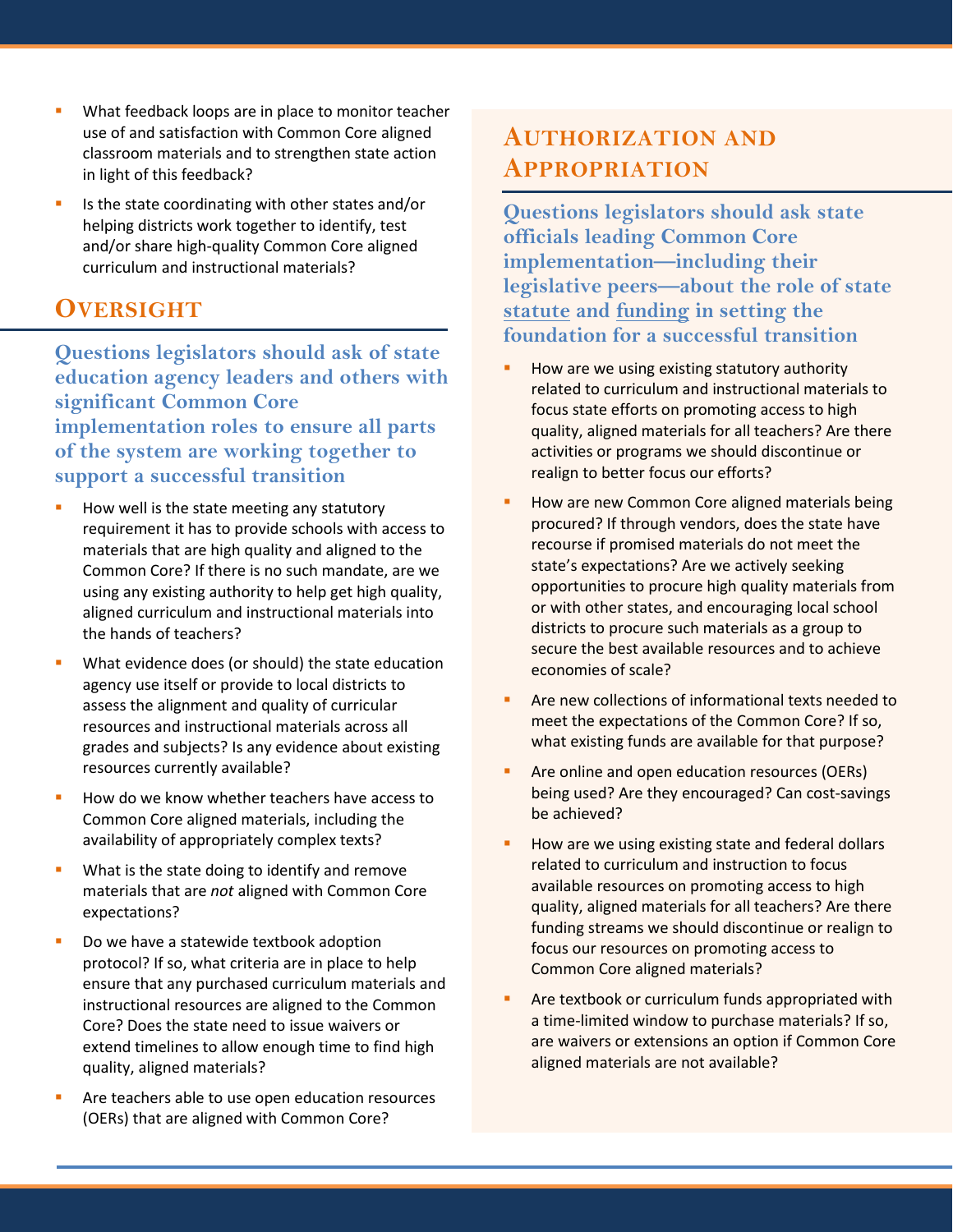- What feedback loops are in place to monitor teacher use of and satisfaction with Common Core aligned classroom materials and to strengthen state action in light of this feedback?
- Is the state coordinating with other states and/or helping districts work together to identify, test and/or share high-quality Common Core aligned curriculum and instructional materials?

**Questions legislators should ask of state education agency leaders and others with significant Common Core implementation roles to ensure all parts of the system are working together to support a successful transition**

- How well is the state meeting any statutory requirement it has to provide schools with access to materials that are high quality and aligned to the Common Core? If there is no such mandate, are we using any existing authority to help get high quality, aligned curriculum and instructional materials into the hands of teachers?
- What evidence does (or should) the state education agency use itself or provide to local districts to assess the alignment and quality of curricular resources and instructional materials across all grades and subjects? Is any evidence about existing resources currently available?
- How do we know whether teachers have access to Common Core aligned materials, including the availability of appropriately complex texts?
- What is the state doing to identify and remove materials that are *not* aligned with Common Core expectations?
- Do we have a statewide textbook adoption protocol? If so, what criteria are in place to help ensure that any purchased curriculum materials and instructional resources are aligned to the Common Core? Does the state need to issue waivers or extend timelines to allow enough time to find high quality, aligned materials?
- Are teachers able to use open education resources (OERs) that are aligned with Common Core?

### **AUTHORIZATION AND APPROPRIATION**

**Questions legislators should ask state officials leading Common Core implementation—including their legislative peers—about the role of state statute and funding in setting the foundation for a successful transition** 

- How are we using existing statutory authority related to curriculum and instructional materials to focus state efforts on promoting access to high quality, aligned materials for all teachers? Are there activities or programs we should discontinue or realign to better focus our efforts?
- How are new Common Core aligned materials being procured? If through vendors, does the state have recourse if promised materials do not meet the state's expectations? Are we actively seeking opportunities to procure high quality materials from or with other states, and encouraging local school districts to procure such materials as a group to secure the best available resources and to achieve economies of scale?
- Are new collections of informational texts needed to meet the expectations of the Common Core? If so, what existing funds are available for that purpose?
- **Are online and open education resources (OERs)** being used? Are they encouraged? Can cost-savings be achieved?
- How are we using existing state and federal dollars related to curriculum and instruction to focus available resources on promoting access to high quality, aligned materials for all teachers? Are there funding streams we should discontinue or realign to focus our resources on promoting access to Common Core aligned materials?
- Are textbook or curriculum funds appropriated with a time-limited window to purchase materials? If so, are waivers or extensions an option if Common Core aligned materials are not available?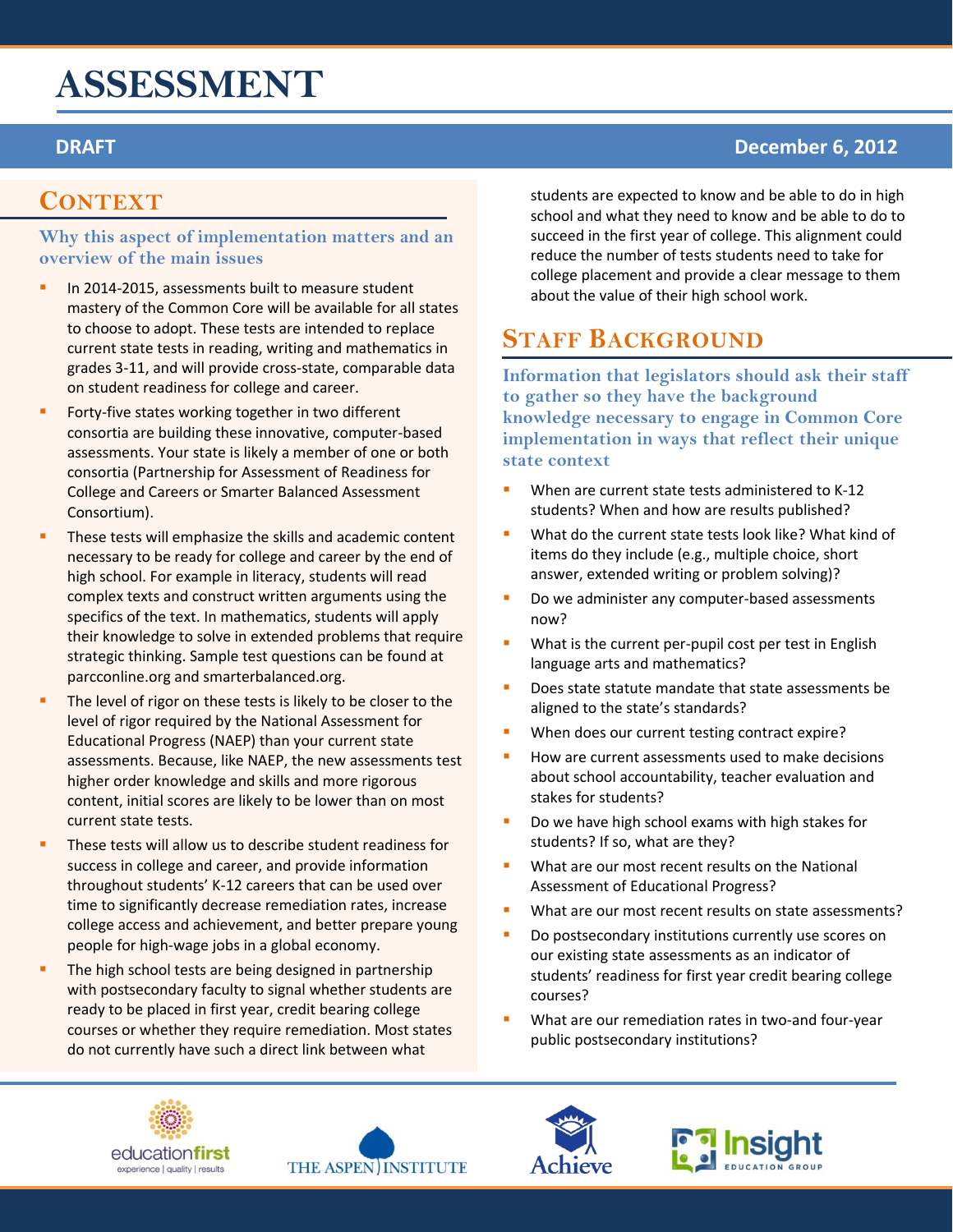# **ASSESSMENT**

### **CONTEXT**

#### **Why this aspect of implementation matters and an overview of the main issues**

- In 2014-2015, assessments built to measure student mastery of the Common Core will be available for all states to choose to adopt. These tests are intended to replace current state tests in reading, writing and mathematics in grades 3-11, and will provide cross-state, comparable data on student readiness for college and career.
- Forty-five states working together in two different consortia are building these innovative, computer-based assessments. Your state is likely a member of one or both consortia (Partnership for Assessment of Readiness for College and Careers or Smarter Balanced Assessment Consortium).
- These tests will emphasize the skills and academic content necessary to be ready for college and career by the end of high school. For example in literacy, students will read complex texts and construct written arguments using the specifics of the text. In mathematics, students will apply their knowledge to solve in extended problems that require strategic thinking. Sample test questions can be found at parcconline.org and smarterbalanced.org.
- The level of rigor on these tests is likely to be closer to the level of rigor required by the National Assessment for Educational Progress (NAEP) than your current state assessments. Because, like NAEP, the new assessments test higher order knowledge and skills and more rigorous content, initial scores are likely to be lower than on most current state tests.
- These tests will allow us to describe student readiness for success in college and career, and provide information throughout students' K-12 careers that can be used over time to significantly decrease remediation rates, increase college access and achievement, and better prepare young people for high-wage jobs in a global economy.
- The high school tests are being designed in partnership with postsecondary faculty to signal whether students are ready to be placed in first year, credit bearing college courses or whether they require remediation. Most states do not currently have such a direct link between what

students are expected to know and be able to do in high school and what they need to know and be able to do to succeed in the first year of college. This alignment could reduce the number of tests students need to take for college placement and provide a clear message to them about the value of their high school work.

### **STAFF BACKGROUND**

**Information that legislators should ask their staff to gather so they have the background knowledge necessary to engage in Common Core implementation in ways that reflect their unique state context**

- When are current state tests administered to K-12 students? When and how are results published?
- **What do the current state tests look like? What kind of** items do they include (e.g., multiple choice, short answer, extended writing or problem solving)?
- Do we administer any computer-based assessments now?
- What is the current per-pupil cost per test in English language arts and mathematics?
- Does state statute mandate that state assessments be aligned to the state's standards?
- When does our current testing contract expire?
- How are current assessments used to make decisions about school accountability, teacher evaluation and stakes for students?
- Do we have high school exams with high stakes for students? If so, what are they?
- **What are our most recent results on the National** Assessment of Educational Progress?
- What are our most recent results on state assessments?
- Do postsecondary institutions currently use scores on our existing state assessments as an indicator of students' readiness for first year credit bearing college courses?
- What are our remediation rates in two-and four-year public postsecondary institutions?









### **DRAFT December 6, 2012**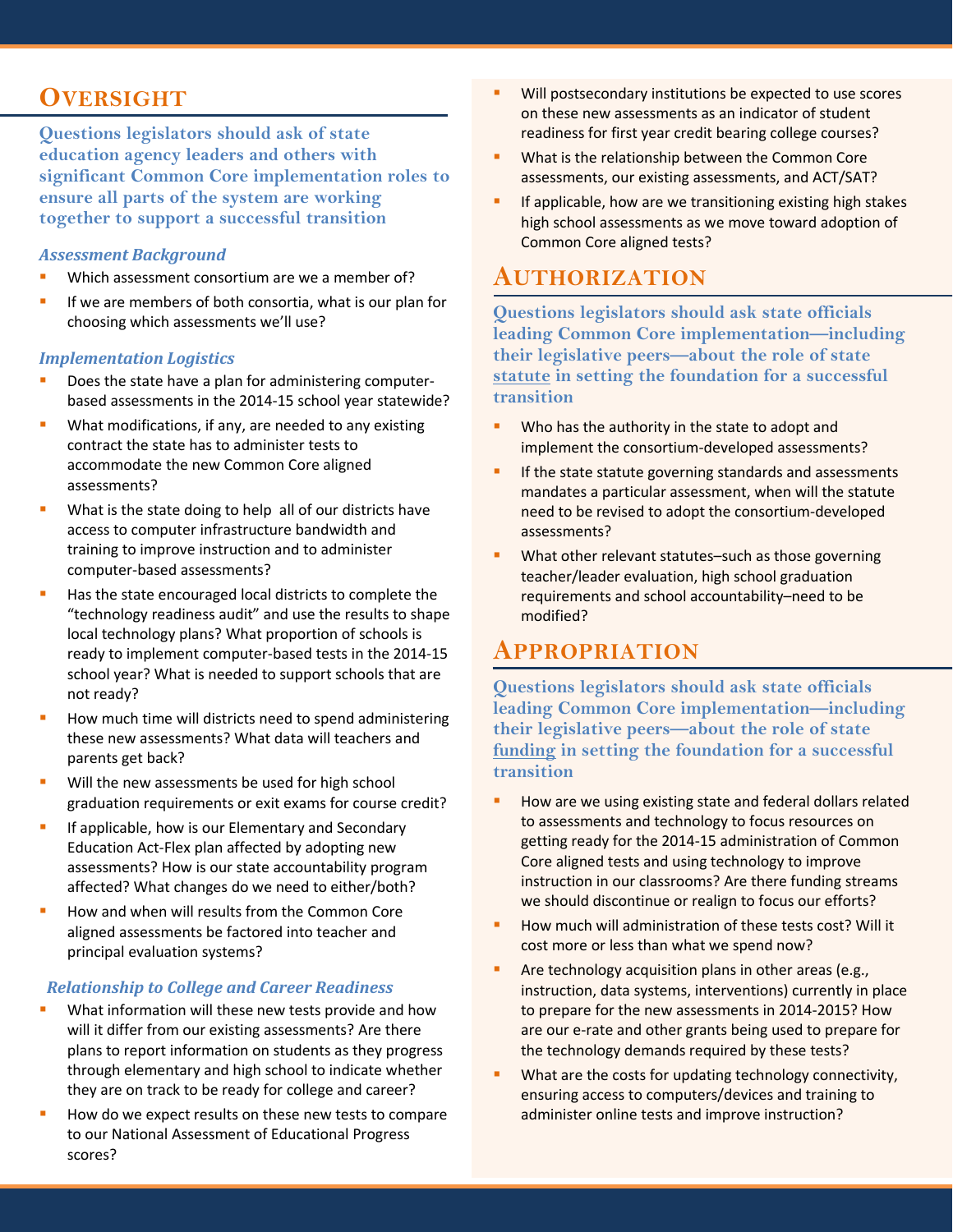**Questions legislators should ask of state education agency leaders and others with significant Common Core implementation roles to ensure all parts of the system are working together to support a successful transition**

#### *Assessment Background*

- Which assessment consortium are we a member of?
- If we are members of both consortia, what is our plan for choosing which assessments we'll use?

#### *Implementation Logistics*

- Does the state have a plan for administering computerbased assessments in the 2014-15 school year statewide?
- What modifications, if any, are needed to any existing contract the state has to administer tests to accommodate the new Common Core aligned assessments?
- What is the state doing to help all of our districts have access to computer infrastructure bandwidth and training to improve instruction and to administer computer-based assessments?
- Has the state encouraged local districts to complete the "technology readiness audit" and use the results to shape local technology plans? What proportion of schools is ready to implement computer-based tests in the 2014-15 school year? What is needed to support schools that are not ready?
- How much time will districts need to spend administering these new assessments? What data will teachers and parents get back?
- Will the new assessments be used for high school graduation requirements or exit exams for course credit?
- If applicable, how is our Elementary and Secondary Education Act-Flex plan affected by adopting new assessments? How is our state accountability program affected? What changes do we need to either/both?
- How and when will results from the Common Core aligned assessments be factored into teacher and principal evaluation systems?

#### *Relationship to College and Career Readiness*

- What information will these new tests provide and how will it differ from our existing assessments? Are there plans to report information on students as they progress through elementary and high school to indicate whether they are on track to be ready for college and career?
- How do we expect results on these new tests to compare to our National Assessment of Educational Progress scores?
- Will postsecondary institutions be expected to use scores on these new assessments as an indicator of student readiness for first year credit bearing college courses?
- What is the relationship between the Common Core assessments, our existing assessments, and ACT/SAT?
- If applicable, how are we transitioning existing high stakes high school assessments as we move toward adoption of Common Core aligned tests?

### **AUTHORIZATION**

**Questions legislators should ask state officials leading Common Core implementation—including their legislative peers—about the role of state statute in setting the foundation for a successful transition**

- Who has the authority in the state to adopt and implement the consortium-developed assessments?
- **If the state statute governing standards and assessments** mandates a particular assessment, when will the statute need to be revised to adopt the consortium-developed assessments?
- What other relevant statutes–such as those governing teacher/leader evaluation, high school graduation requirements and school accountability–need to be modified?

### **APPROPRIATION**

**Questions legislators should ask state officials leading Common Core implementation—including their legislative peers—about the role of state funding in setting the foundation for a successful transition**

- How are we using existing state and federal dollars related to assessments and technology to focus resources on getting ready for the 2014-15 administration of Common Core aligned tests and using technology to improve instruction in our classrooms? Are there funding streams we should discontinue or realign to focus our efforts?
- How much will administration of these tests cost? Will it cost more or less than what we spend now?
- Are technology acquisition plans in other areas (e.g., instruction, data systems, interventions) currently in place to prepare for the new assessments in 2014-2015? How are our e-rate and other grants being used to prepare for the technology demands required by these tests?
- What are the costs for updating technology connectivity, ensuring access to computers/devices and training to administer online tests and improve instruction?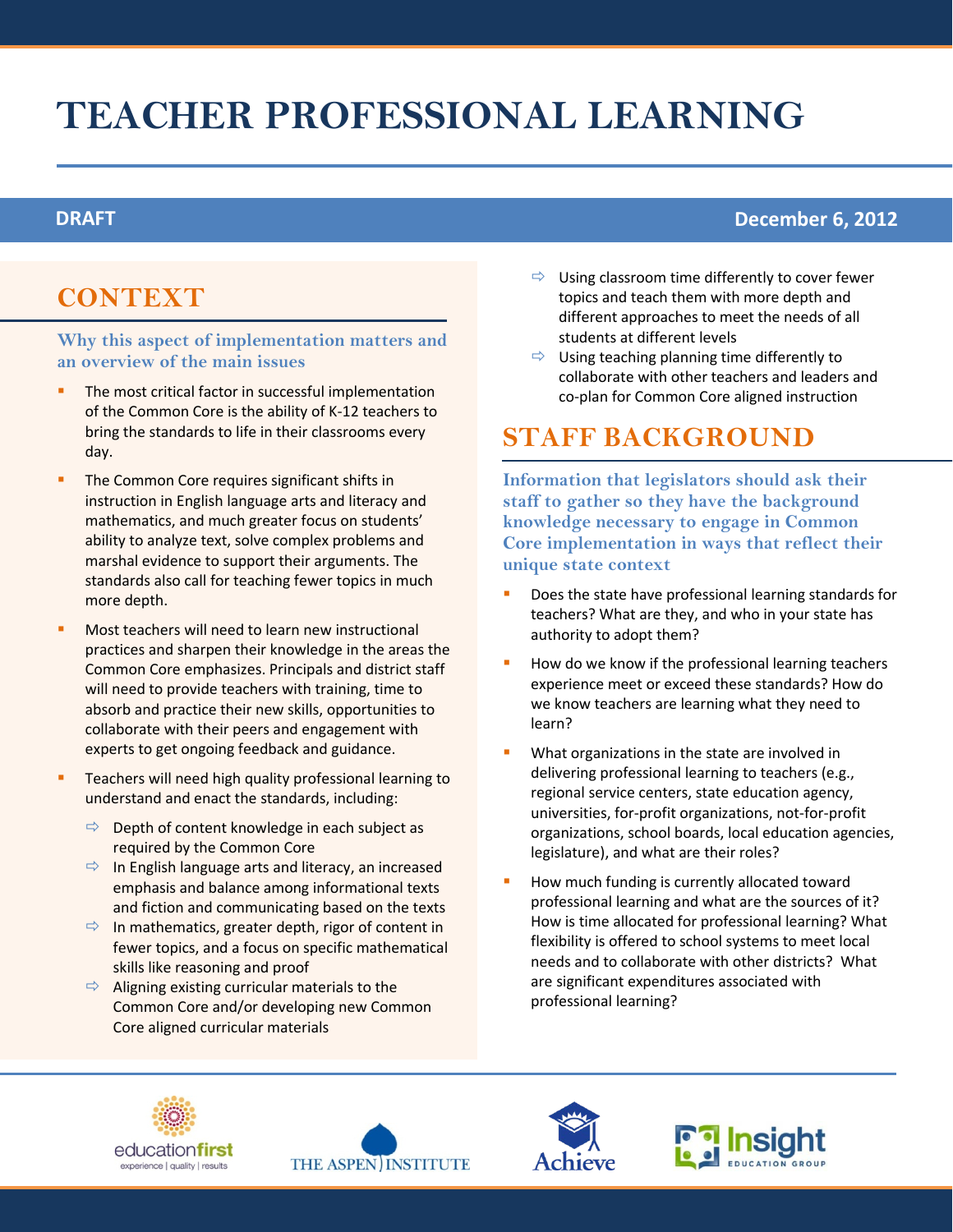# **TEACHER PROFESSIONAL LEARNING**

#### **DRAFT December 6, 2012**

## **CONTEXT**

**Why this aspect of implementation matters and an overview of the main issues**

- The most critical factor in successful implementation of the Common Core is the ability of K-12 teachers to bring the standards to life in their classrooms every day.
- The Common Core requires significant shifts in instruction in English language arts and literacy and mathematics, and much greater focus on students' ability to analyze text, solve complex problems and marshal evidence to support their arguments. The standards also call for teaching fewer topics in much more depth.
- Most teachers will need to learn new instructional practices and sharpen their knowledge in the areas the Common Core emphasizes. Principals and district staff will need to provide teachers with training, time to absorb and practice their new skills, opportunities to collaborate with their peers and engagement with experts to get ongoing feedback and guidance.
- Teachers will need high quality professional learning to understand and enact the standards, including:
	- $\Rightarrow$  Depth of content knowledge in each subject as required by the Common Core
	- $\Rightarrow$  In English language arts and literacy, an increased emphasis and balance among informational texts and fiction and communicating based on the texts
	- $\Rightarrow$  In mathematics, greater depth, rigor of content in fewer topics, and a focus on specific mathematical skills like reasoning and proof
	- $\Rightarrow$  Aligning existing curricular materials to the Common Core and/or developing new Common Core aligned curricular materials
- $\Rightarrow$  Using classroom time differently to cover fewer topics and teach them with more depth and different approaches to meet the needs of all students at different levels
- $\Rightarrow$  Using teaching planning time differently to collaborate with other teachers and leaders and co-plan for Common Core aligned instruction

## **STAFF BACKGROUND**

- Does the state have professional learning standards for teachers? What are they, and who in your state has authority to adopt them?
- How do we know if the professional learning teachers experience meet or exceed these standards? How do we know teachers are learning what they need to learn?
- What organizations in the state are involved in delivering professional learning to teachers (e.g., regional service centers, state education agency, universities, for-profit organizations, not-for-profit organizations, school boards, local education agencies, legislature), and what are their roles?
- How much funding is currently allocated toward professional learning and what are the sources of it? How is time allocated for professional learning? What flexibility is offered to school systems to meet local needs and to collaborate with other districts? What are significant expenditures associated with professional learning?







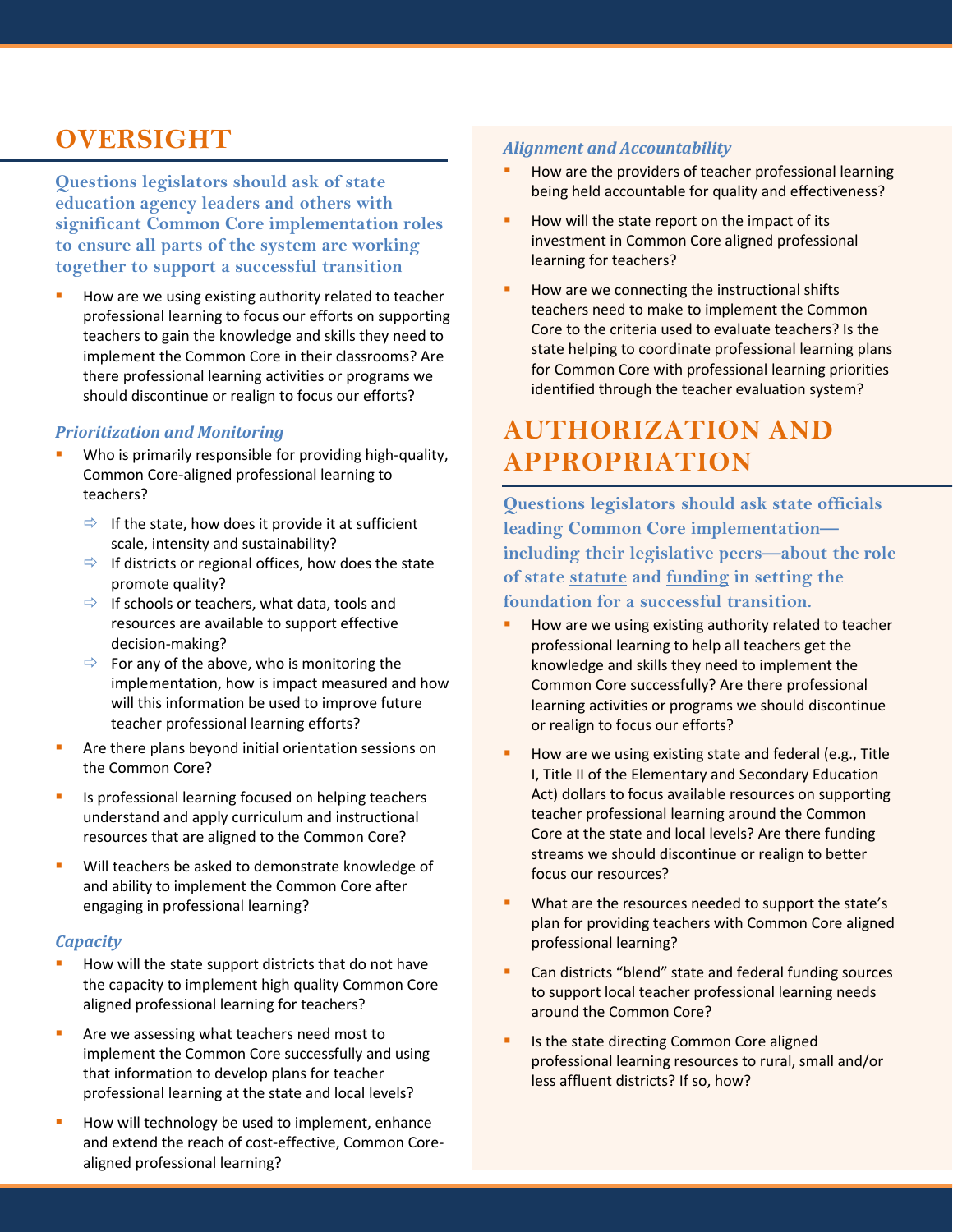**Questions legislators should ask of state education agency leaders and others with significant Common Core implementation roles to ensure all parts of the system are working together to support a successful transition**

 How are we using existing authority related to teacher professional learning to focus our efforts on supporting teachers to gain the knowledge and skills they need to implement the Common Core in their classrooms? Are there professional learning activities or programs we should discontinue or realign to focus our efforts?

#### *Prioritization and Monitoring*

- Who is primarily responsible for providing high-quality, Common Core-aligned professional learning to teachers?
	- $\Rightarrow$  If the state, how does it provide it at sufficient scale, intensity and sustainability?
	- $\Rightarrow$  If districts or regional offices, how does the state promote quality?
	- $\Rightarrow$  If schools or teachers, what data, tools and resources are available to support effective decision-making?
	- $\Rightarrow$  For any of the above, who is monitoring the implementation, how is impact measured and how will this information be used to improve future teacher professional learning efforts?
- Are there plans beyond initial orientation sessions on the Common Core?
- Is professional learning focused on helping teachers understand and apply curriculum and instructional resources that are aligned to the Common Core?
- **Will teachers be asked to demonstrate knowledge of** and ability to implement the Common Core after engaging in professional learning?

#### *Capacity*

- How will the state support districts that do not have the capacity to implement high quality Common Core aligned professional learning for teachers?
- Are we assessing what teachers need most to implement the Common Core successfully and using that information to develop plans for teacher professional learning at the state and local levels?
- How will technology be used to implement, enhance and extend the reach of cost-effective, Common Corealigned professional learning?

#### *Alignment and Accountability*

- How are the providers of teacher professional learning being held accountable for quality and effectiveness?
- How will the state report on the impact of its investment in Common Core aligned professional learning for teachers?
- How are we connecting the instructional shifts teachers need to make to implement the Common Core to the criteria used to evaluate teachers? Is the state helping to coordinate professional learning plans for Common Core with professional learning priorities identified through the teacher evaluation system?

## **AUTHORIZATION AND APPROPRIATION**

**Questions legislators should ask state officials leading Common Core implementation including their legislative peers—about the role of state statute and funding in setting the foundation for a successful transition.**

- How are we using existing authority related to teacher professional learning to help all teachers get the knowledge and skills they need to implement the Common Core successfully? Are there professional learning activities or programs we should discontinue or realign to focus our efforts?
- How are we using existing state and federal (e.g., Title I, Title II of the Elementary and Secondary Education Act) dollars to focus available resources on supporting teacher professional learning around the Common Core at the state and local levels? Are there funding streams we should discontinue or realign to better focus our resources?
- What are the resources needed to support the state's plan for providing teachers with Common Core aligned professional learning?
- Can districts "blend" state and federal funding sources to support local teacher professional learning needs around the Common Core?
- Is the state directing Common Core aligned professional learning resources to rural, small and/or less affluent districts? If so, how?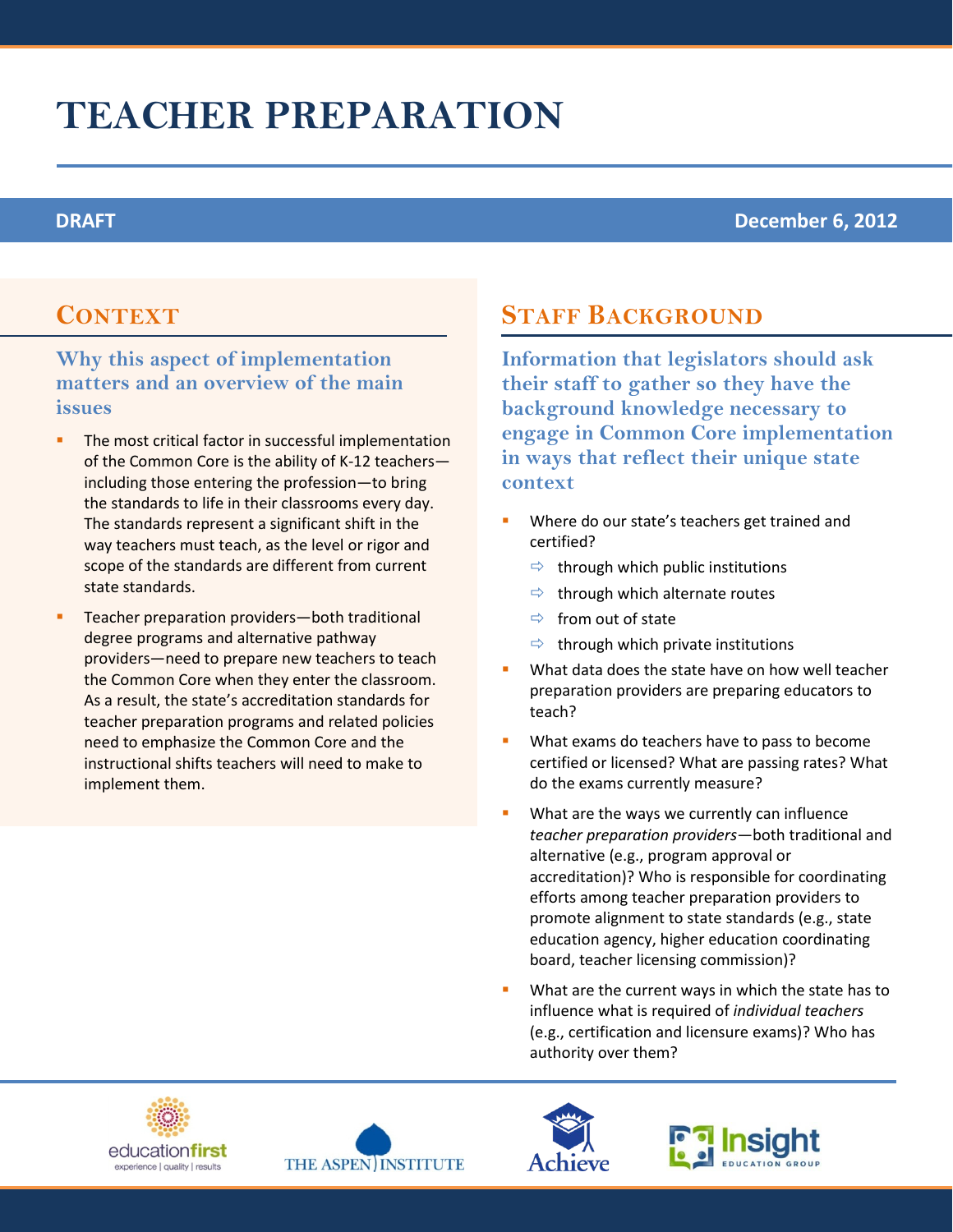# **TEACHER PREPARATION**

### **DRAFT December 6, 2012**

### **CONTEXT**

### **Why this aspect of implementation matters and an overview of the main issues**

- The most critical factor in successful implementation of the Common Core is the ability of K-12 teachers including those entering the profession—to bring the standards to life in their classrooms every day. The standards represent a significant shift in the way teachers must teach, as the level or rigor and scope of the standards are different from current state standards.
- Teacher preparation providers—both traditional degree programs and alternative pathway providers—need to prepare new teachers to teach the Common Core when they enter the classroom. As a result, the state's accreditation standards for teacher preparation programs and related policies need to emphasize the Common Core and the instructional shifts teachers will need to make to implement them.

## **STAFF BACKGROUND**

- Where do our state's teachers get trained and certified?
	- $\Rightarrow$  through which public institutions
	- $\Rightarrow$  through which alternate routes
	- $\Rightarrow$  from out of state
	- $\Rightarrow$  through which private institutions
- **What data does the state have on how well teacher** preparation providers are preparing educators to teach?
- What exams do teachers have to pass to become certified or licensed? What are passing rates? What do the exams currently measure?
- **What are the ways we currently can influence** *teacher preparation providers*—both traditional and alternative (e.g., program approval or accreditation)? Who is responsible for coordinating efforts among teacher preparation providers to promote alignment to state standards (e.g., state education agency, higher education coordinating board, teacher licensing commission)?
- What are the current ways in which the state has to influence what is required of *individual teachers* (e.g., certification and licensure exams)? Who has authority over them?







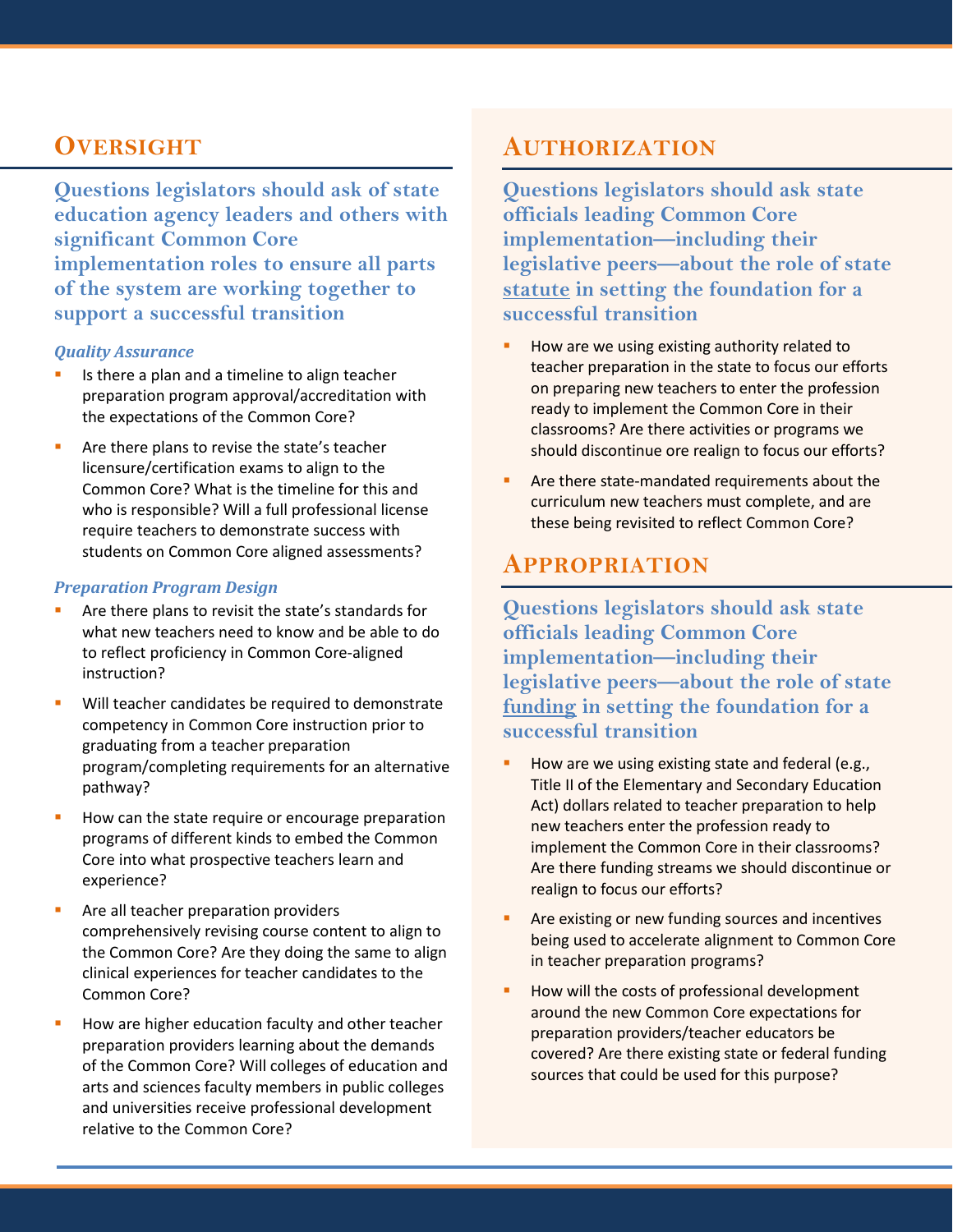**Questions legislators should ask of state education agency leaders and others with significant Common Core implementation roles to ensure all parts of the system are working together to support a successful transition**

#### *Quality Assurance*

- Is there a plan and a timeline to align teacher preparation program approval/accreditation with the expectations of the Common Core?
- **Are there plans to revise the state's teacher** licensure/certification exams to align to the Common Core? What is the timeline for this and who is responsible? Will a full professional license require teachers to demonstrate success with students on Common Core aligned assessments?

#### *Preparation Program Design*

- Are there plans to revisit the state's standards for what new teachers need to know and be able to do to reflect proficiency in Common Core-aligned instruction?
- Will teacher candidates be required to demonstrate competency in Common Core instruction prior to graduating from a teacher preparation program/completing requirements for an alternative pathway?
- How can the state require or encourage preparation programs of different kinds to embed the Common Core into what prospective teachers learn and experience?
- Are all teacher preparation providers comprehensively revising course content to align to the Common Core? Are they doing the same to align clinical experiences for teacher candidates to the Common Core?
- How are higher education faculty and other teacher preparation providers learning about the demands of the Common Core? Will colleges of education and arts and sciences faculty members in public colleges and universities receive professional development relative to the Common Core?

### **AUTHORIZATION**

**Questions legislators should ask state officials leading Common Core implementation—including their legislative peers—about the role of state statute in setting the foundation for a successful transition** 

- How are we using existing authority related to teacher preparation in the state to focus our efforts on preparing new teachers to enter the profession ready to implement the Common Core in their classrooms? Are there activities or programs we should discontinue ore realign to focus our efforts?
- **Are there state-mandated requirements about the** curriculum new teachers must complete, and are these being revisited to reflect Common Core?

### **APPROPRIATION**

**Questions legislators should ask state officials leading Common Core implementation—including their legislative peers—about the role of state funding in setting the foundation for a successful transition** 

- $\blacksquare$  How are we using existing state and federal (e.g., Title II of the Elementary and Secondary Education Act) dollars related to teacher preparation to help new teachers enter the profession ready to implement the Common Core in their classrooms? Are there funding streams we should discontinue or realign to focus our efforts?
- **Are existing or new funding sources and incentives** being used to accelerate alignment to Common Core in teacher preparation programs?
- How will the costs of professional development around the new Common Core expectations for preparation providers/teacher educators be covered? Are there existing state or federal funding sources that could be used for this purpose?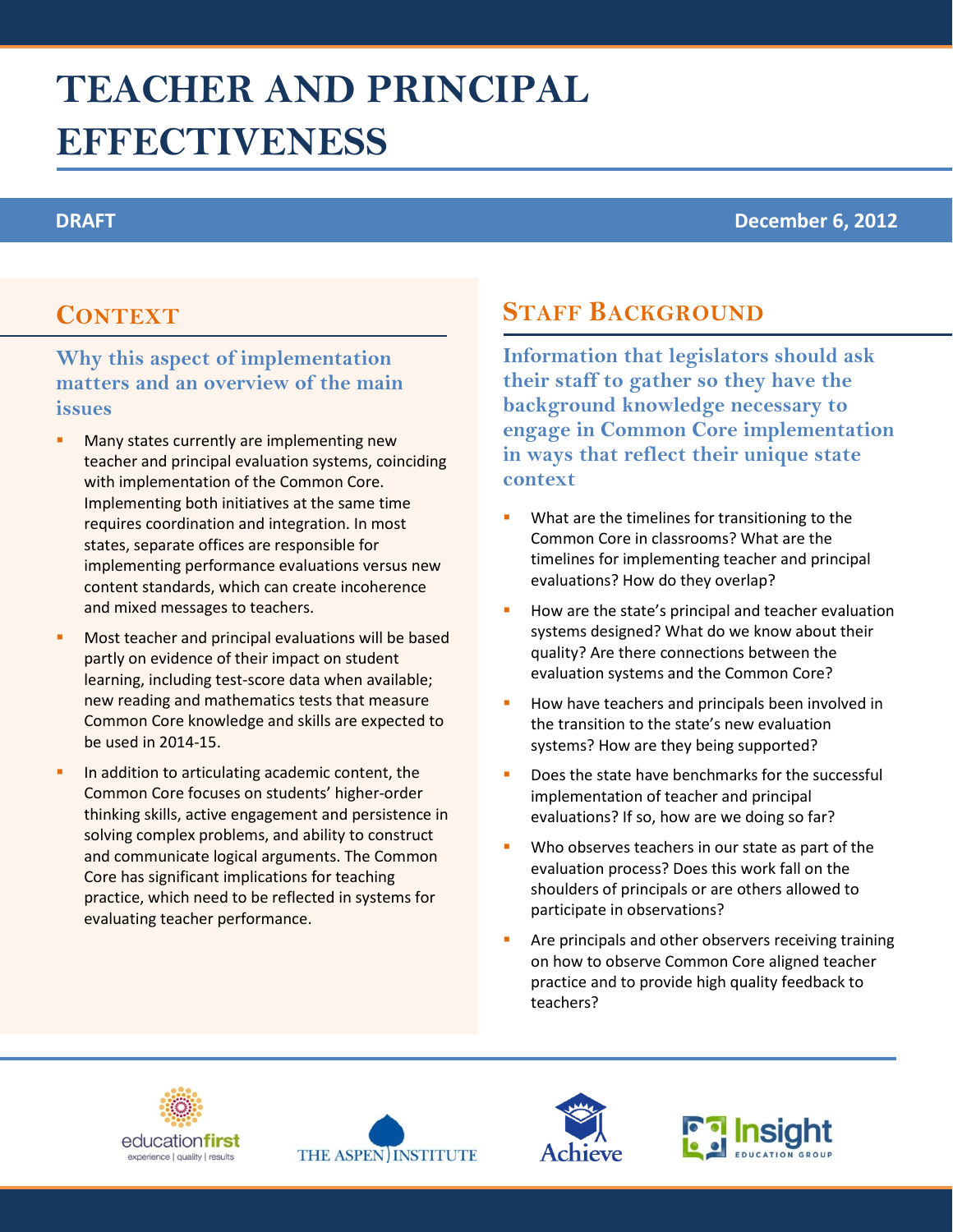# **TEACHER AND PRINCIPAL EFFECTIVENESS**

#### **DRAFT December 6, 2012**

### **CONTEXT**

### **Why this aspect of implementation matters and an overview of the main issues**

- Many states currently are implementing new teacher and principal evaluation systems, coinciding with implementation of the Common Core. Implementing both initiatives at the same time requires coordination and integration. In most states, separate offices are responsible for implementing performance evaluations versus new content standards, which can create incoherence and mixed messages to teachers.
- Most teacher and principal evaluations will be based partly on evidence of their impact on student learning, including test-score data when available; new reading and mathematics tests that measure Common Core knowledge and skills are expected to be used in 2014-15.
- In addition to articulating academic content, the Common Core focuses on students' higher-order thinking skills, active engagement and persistence in solving complex problems, and ability to construct and communicate logical arguments. The Common Core has significant implications for teaching practice, which need to be reflected in systems for evaluating teacher performance.

## **STAFF BACKGROUND**

- What are the timelines for transitioning to the Common Core in classrooms? What are the timelines for implementing teacher and principal evaluations? How do they overlap?
- How are the state's principal and teacher evaluation systems designed? What do we know about their quality? Are there connections between the evaluation systems and the Common Core?
- How have teachers and principals been involved in the transition to the state's new evaluation systems? How are they being supported?
- Does the state have benchmarks for the successful implementation of teacher and principal evaluations? If so, how are we doing so far?
- Who observes teachers in our state as part of the evaluation process? Does this work fall on the shoulders of principals or are others allowed to participate in observations?
- Are principals and other observers receiving training on how to observe Common Core aligned teacher practice and to provide high quality feedback to teachers?